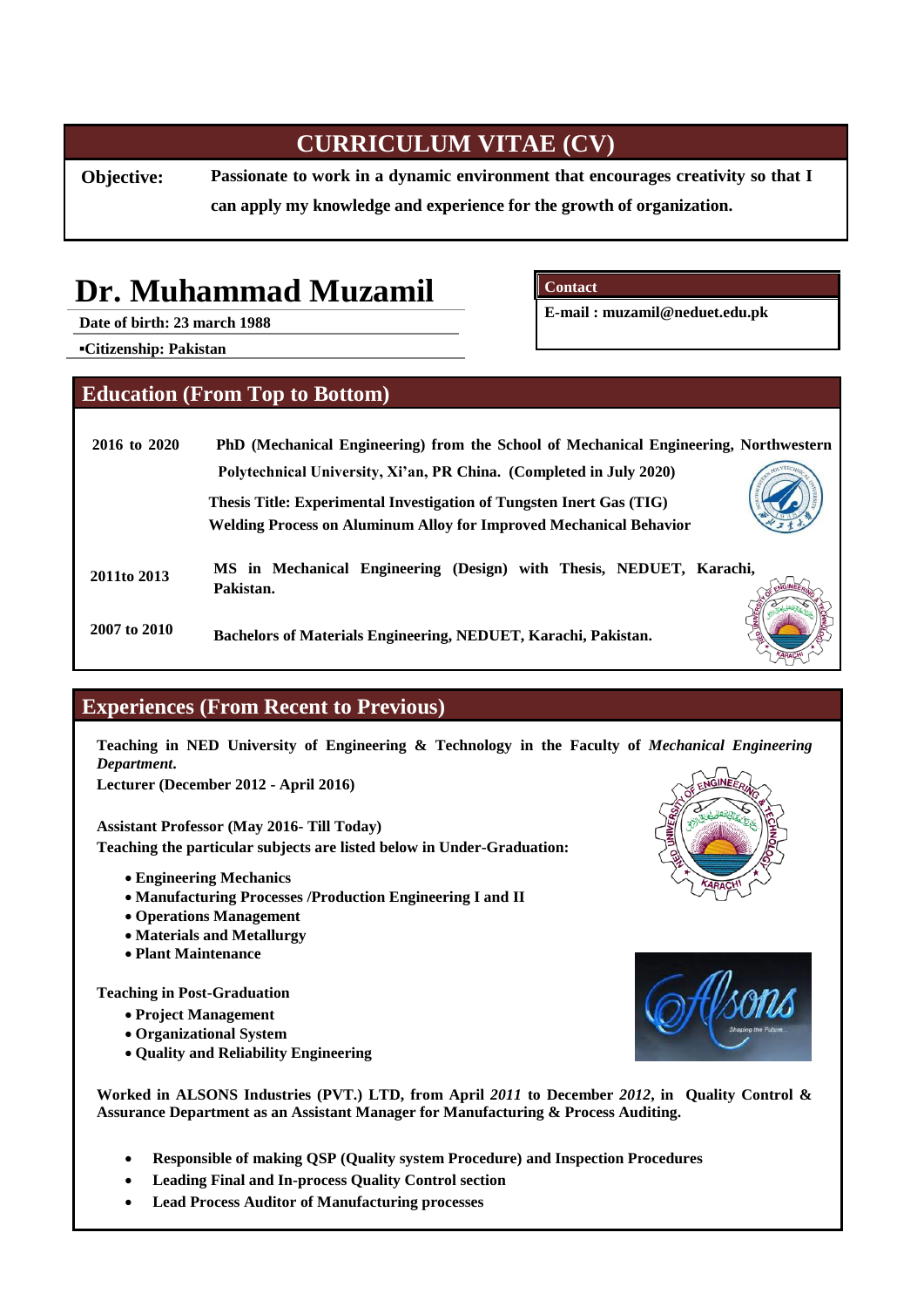# **CURRICULUM VITAE (CV)**

**Objective: Passionate to work in a dynamic environment that encourages creativity so that I can apply my knowledge and experience for the growth of organization.** 

# **Dr. Muhammad Muzamil**

**Date of birth: 23 march 1988**

**Contact**

**E-mail : [muzamil@neduet.edu.pk](mailto:muzamil@neduet.edu.pk)**

**▪Citizenship: Pakistan**

### **Education (From Top to Bottom)**

| 2016 to 2020 | PhD (Mechanical Engineering) from the School of Mechanical Engineering, Northwestern |
|--------------|--------------------------------------------------------------------------------------|
|              | Polytechnical University, Xi'an, PR China. (Completed in July 2020)                  |
|              | Thesis Title: Experimental Investigation of Tungsten Inert Gas (TIG)                 |
|              | <b>Welding Process on Aluminum Alloy for Improved Mechanical Behavior</b>            |
| 2011to 2013  | MS in Mechanical Engineering (Design) with Thesis, NEDUET, Karachi,<br>Pakistan.     |
| 2007 to 2010 | Bachelors of Materials Engineering, NEDUET, Karachi, Pakistan.                       |

# **Experiences (From Recent to Previous)**

**Teaching in NED University of Engineering & Technology in the Faculty of** *Mechanical Engineering Department***.**

**Lecturer (December 2012 - April 2016)** 

**Assistant Professor (May 2016- Till Today) Teaching the particular subjects are listed below in Under-Graduation:**

- **Engineering Mechanics**
- **Manufacturing Processes /Production Engineering I and II**
- **Operations Management**
- **Materials and Metallurgy**
- **Plant Maintenance**

**Teaching in Post-Graduation**

- **Project Management**
- **Organizational System**
- **Quality and Reliability Engineering**



**Worked in ALSONS Industries (PVT.) LTD, from April** *2011* **to December** *2012***, in Quality Control & Assurance Department as an Assistant Manager for Manufacturing & Process Auditing.**

- **Responsible of making QSP (Quality system Procedure) and Inspection Procedures**
- **Leading Final and In-process Quality Control section**
- **Lead Process Auditor of Manufacturing processes**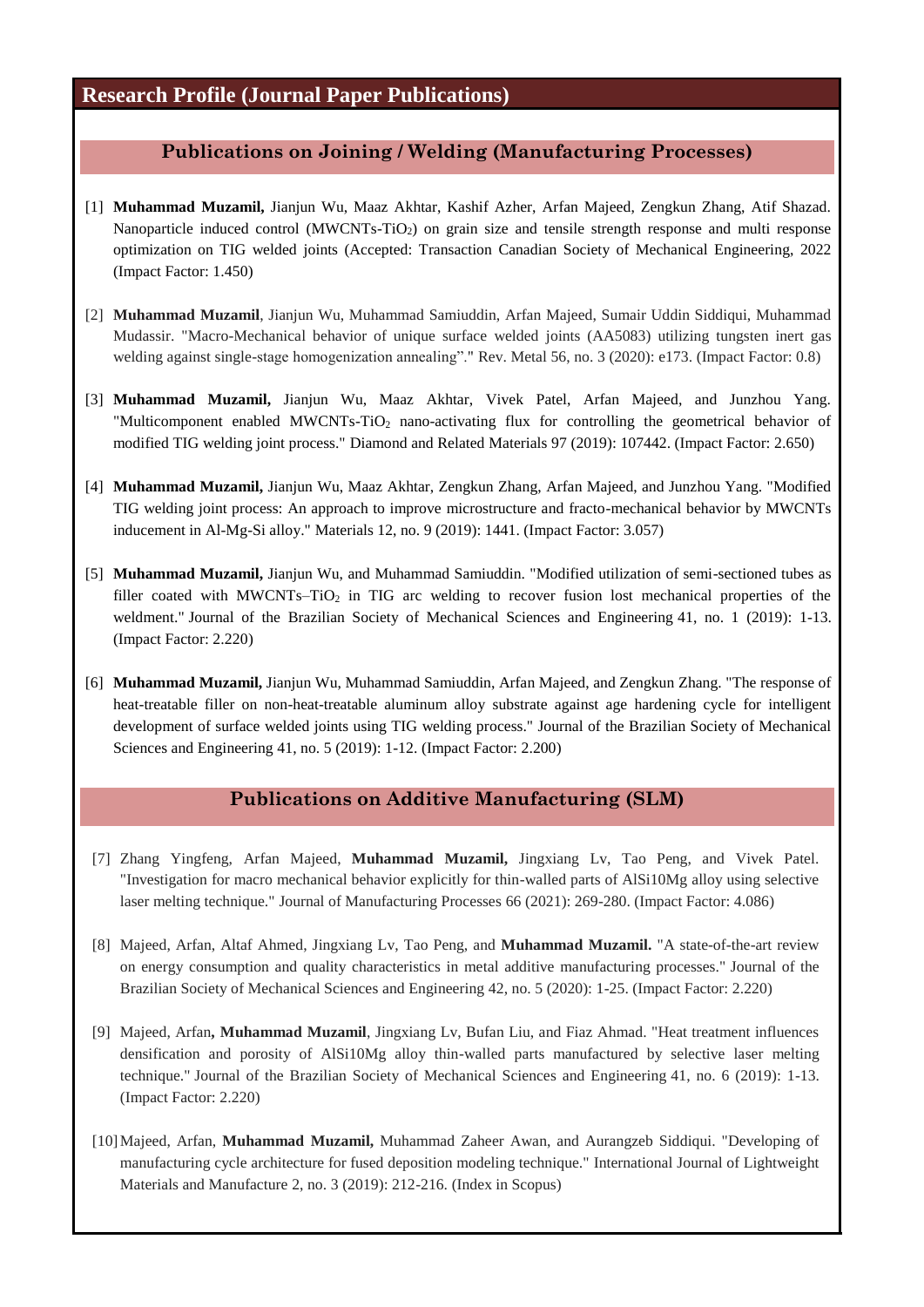# **Research Profile (Journal Paper Publications)**

#### **Publications on Joining / Welding (Manufacturing Processes)**

- [1] **Muhammad Muzamil,** Jianjun Wu, Maaz Akhtar, Kashif Azher, Arfan Majeed, Zengkun Zhang, Atif Shazad. Nanoparticle induced control (MWCNTs-TiO<sub>2</sub>) on grain size and tensile strength response and multi response optimization on TIG welded joints (Accepted: Transaction Canadian Society of Mechanical Engineering, 2022 (Impact Factor: 1.450)
- [2] **Muhammad Muzamil**, Jianjun Wu, Muhammad Samiuddin, Arfan Majeed, Sumair Uddin Siddiqui, Muhammad Mudassir. "Macro-Mechanical behavior of unique surface welded joints (AA5083) utilizing tungsten inert gas welding against single-stage homogenization annealing"." Rev. Metal 56, no. 3 (2020): e173. (Impact Factor: 0.8)
- [3] **Muhammad Muzamil,** Jianjun Wu, Maaz Akhtar, Vivek Patel, Arfan Majeed, and Junzhou Yang. "Multicomponent enabled MWCNTs-TiO<sub>2</sub> nano-activating flux for controlling the geometrical behavior of modified TIG welding joint process." Diamond and Related Materials 97 (2019): 107442. (Impact Factor: 2.650)
- [4] **Muhammad Muzamil,** Jianjun Wu, Maaz Akhtar, Zengkun Zhang, Arfan Majeed, and Junzhou Yang. "Modified TIG welding joint process: An approach to improve microstructure and fracto-mechanical behavior by MWCNTs inducement in Al-Mg-Si alloy." Materials 12, no. 9 (2019): 1441. (Impact Factor: 3.057)
- [5] **Muhammad Muzamil,** Jianjun Wu, and Muhammad Samiuddin. "Modified utilization of semi-sectioned tubes as filler coated with MWCNTs–TiO<sub>2</sub> in TIG arc welding to recover fusion lost mechanical properties of the weldment." Journal of the Brazilian Society of Mechanical Sciences and Engineering 41, no. 1 (2019): 1-13. (Impact Factor: 2.220)
- [6] **Muhammad Muzamil,** Jianjun Wu, Muhammad Samiuddin, Arfan Majeed, and Zengkun Zhang. "The response of heat-treatable filler on non-heat-treatable aluminum alloy substrate against age hardening cycle for intelligent development of surface welded joints using TIG welding process." Journal of the Brazilian Society of Mechanical Sciences and Engineering 41, no. 5 (2019): 1-12. (Impact Factor: 2.200)

#### **Publications on Additive Manufacturing (SLM)**

- [7] Zhang Yingfeng, Arfan Majeed, **Muhammad Muzamil,** Jingxiang Lv, Tao Peng, and Vivek Patel. "Investigation for macro mechanical behavior explicitly for thin-walled parts of AlSi10Mg alloy using selective laser melting technique." Journal of Manufacturing Processes 66 (2021): 269-280. (Impact Factor: 4.086)
- [8] Majeed, Arfan, Altaf Ahmed, Jingxiang Lv, Tao Peng, and **Muhammad Muzamil.** "A state-of-the-art review on energy consumption and quality characteristics in metal additive manufacturing processes." Journal of the Brazilian Society of Mechanical Sciences and Engineering 42, no. 5 (2020): 1-25. (Impact Factor: 2.220)
- [9] Majeed, Arfan**, Muhammad Muzamil**, Jingxiang Lv, Bufan Liu, and Fiaz Ahmad. "Heat treatment influences densification and porosity of AlSi10Mg alloy thin-walled parts manufactured by selective laser melting technique." Journal of the Brazilian Society of Mechanical Sciences and Engineering 41, no. 6 (2019): 1-13. (Impact Factor: 2.220)
- [10]Majeed, Arfan, **Muhammad Muzamil,** Muhammad Zaheer Awan, and Aurangzeb Siddiqui. "Developing of manufacturing cycle architecture for fused deposition modeling technique." International Journal of Lightweight Materials and Manufacture 2, no. 3 (2019): 212-216. (Index in Scopus)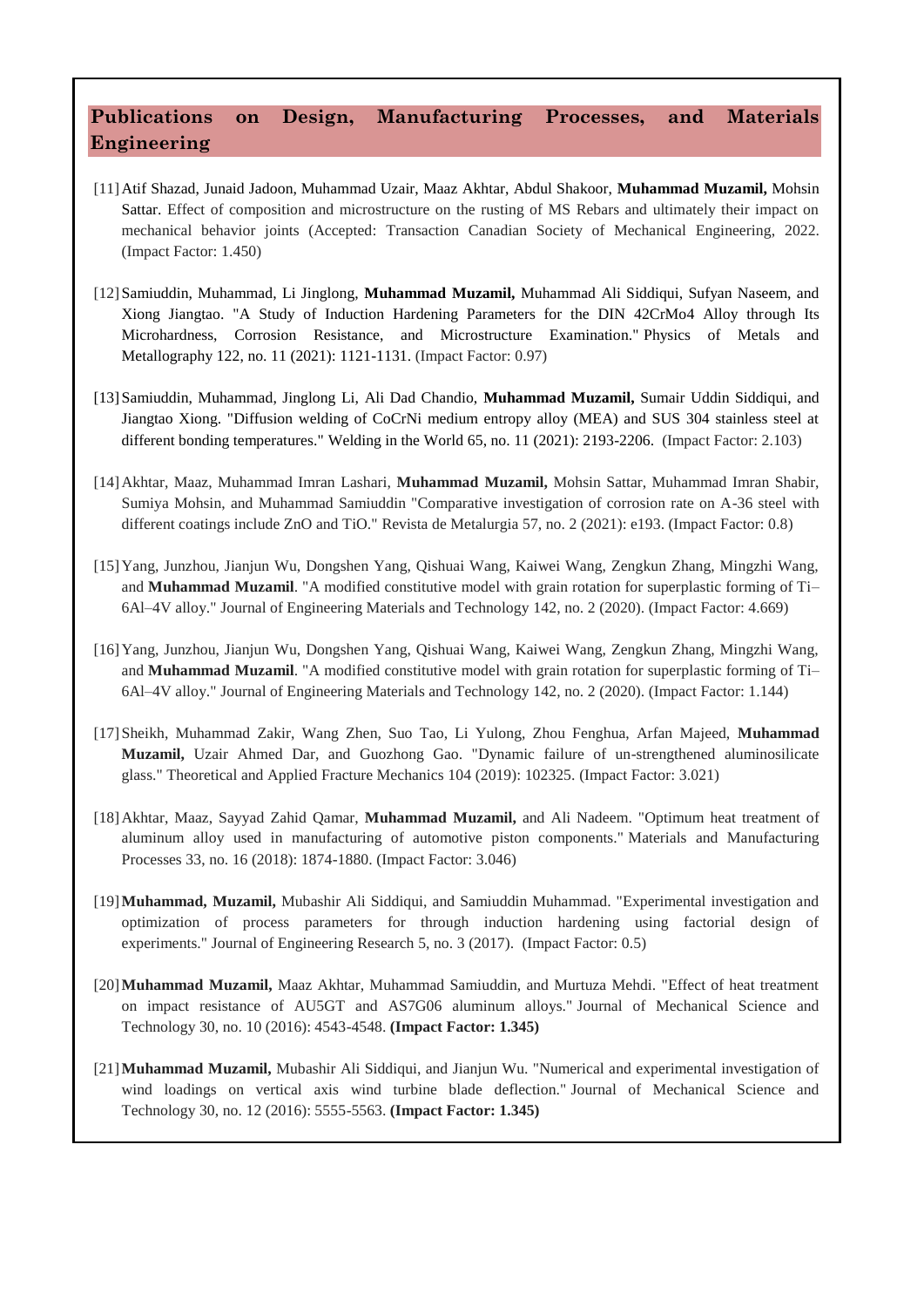# **Publications on Design, Manufacturing Processes, and Materials Engineering**

- [11]Atif Shazad, Junaid Jadoon, Muhammad Uzair, Maaz Akhtar, Abdul Shakoor, **Muhammad Muzamil,** Mohsin Sattar. Effect of composition and microstructure on the rusting of MS Rebars and ultimately their impact on mechanical behavior joints (Accepted: Transaction Canadian Society of Mechanical Engineering, 2022. (Impact Factor: 1.450)
- [12]Samiuddin, Muhammad, Li Jinglong, **Muhammad Muzamil,** Muhammad Ali Siddiqui, Sufyan Naseem, and Xiong Jiangtao. "A Study of Induction Hardening Parameters for the DIN 42CrMo4 Alloy through Its Microhardness, Corrosion Resistance, and Microstructure Examination." Physics of Metals and Metallography 122, no. 11 (2021): 1121-1131. (Impact Factor: 0.97)
- [13]Samiuddin, Muhammad, Jinglong Li, Ali Dad Chandio, **Muhammad Muzamil,** Sumair Uddin Siddiqui, and Jiangtao Xiong. "Diffusion welding of CoCrNi medium entropy alloy (MEA) and SUS 304 stainless steel at different bonding temperatures." Welding in the World 65, no. 11 (2021): 2193-2206. (Impact Factor: 2.103)
- [14]Akhtar, Maaz, Muhammad Imran Lashari, **Muhammad Muzamil,** Mohsin Sattar, Muhammad Imran Shabir, Sumiya Mohsin, and Muhammad Samiuddin "Comparative investigation of corrosion rate on A-36 steel with different coatings include ZnO and TiO." Revista de Metalurgia 57, no. 2 (2021): e193. (Impact Factor: 0.8)
- [15]Yang, Junzhou, Jianjun Wu, Dongshen Yang, Qishuai Wang, Kaiwei Wang, Zengkun Zhang, Mingzhi Wang, and **Muhammad Muzamil**. "A modified constitutive model with grain rotation for superplastic forming of Ti– 6Al–4V alloy." Journal of Engineering Materials and Technology 142, no. 2 (2020). (Impact Factor: 4.669)
- [16]Yang, Junzhou, Jianjun Wu, Dongshen Yang, Qishuai Wang, Kaiwei Wang, Zengkun Zhang, Mingzhi Wang, and **Muhammad Muzamil**. "A modified constitutive model with grain rotation for superplastic forming of Ti– 6Al–4V alloy." Journal of Engineering Materials and Technology 142, no. 2 (2020). (Impact Factor: 1.144)
- [17]Sheikh, Muhammad Zakir, Wang Zhen, Suo Tao, Li Yulong, Zhou Fenghua, Arfan Majeed, **Muhammad Muzamil,** Uzair Ahmed Dar, and Guozhong Gao. "Dynamic failure of un-strengthened aluminosilicate glass." Theoretical and Applied Fracture Mechanics 104 (2019): 102325. (Impact Factor: 3.021)
- [18]Akhtar, Maaz, Sayyad Zahid Qamar, **Muhammad Muzamil,** and Ali Nadeem. "Optimum heat treatment of aluminum alloy used in manufacturing of automotive piston components." Materials and Manufacturing Processes 33, no. 16 (2018): 1874-1880. (Impact Factor: 3.046)
- [19]**Muhammad, Muzamil,** Mubashir Ali Siddiqui, and Samiuddin Muhammad. "Experimental investigation and optimization of process parameters for through induction hardening using factorial design of experiments." Journal of Engineering Research 5, no. 3 (2017). (Impact Factor: 0.5)
- [20]**Muhammad Muzamil,** Maaz Akhtar, Muhammad Samiuddin, and Murtuza Mehdi. "Effect of heat treatment on impact resistance of AU5GT and AS7G06 aluminum alloys." Journal of Mechanical Science and Technology 30, no. 10 (2016): 4543-4548. **(Impact Factor: 1.345)**
- [21]**Muhammad Muzamil,** Mubashir Ali Siddiqui, and Jianjun Wu. "Numerical and experimental investigation of wind loadings on vertical axis wind turbine blade deflection." Journal of Mechanical Science and Technology 30, no. 12 (2016): 5555-5563. **(Impact Factor: 1.345)**